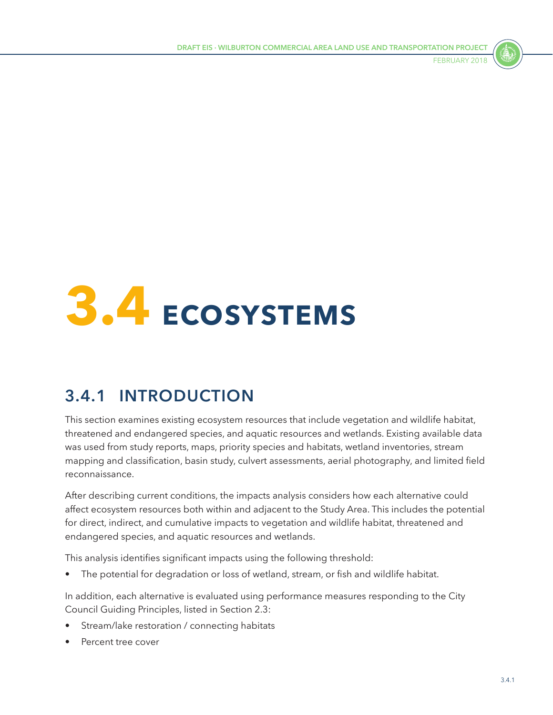

# **3.4 ECOSYSTEMS**

# **3.4.1 INTRODUCTION**

This section examines existing ecosystem resources that include vegetation and wildlife habitat, threatened and endangered species, and aquatic resources and wetlands. Existing available data was used from study reports, maps, priority species and habitats, wetland inventories, stream mapping and classification, basin study, culvert assessments, aerial photography, and limited field reconnaissance.

After describing current conditions, the impacts analysis considers how each alternative could affect ecosystem resources both within and adjacent to the Study Area. This includes the potential for direct, indirect, and cumulative impacts to vegetation and wildlife habitat, threatened and endangered species, and aquatic resources and wetlands.

This analysis identifies significant impacts using the following threshold:

The potential for degradation or loss of wetland, stream, or fish and wildlife habitat.

In addition, each alternative is evaluated using performance measures responding to the City Council Guiding Principles, listed in Section 2.3:

- Stream/lake restoration / connecting habitats
- Percent tree cover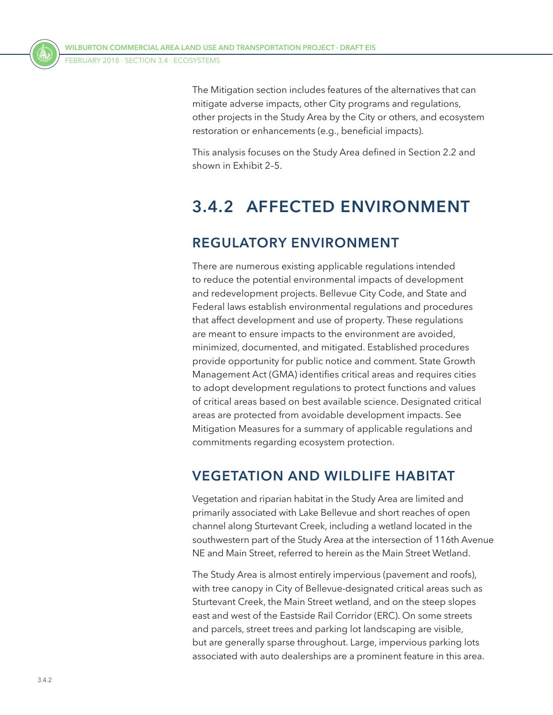The Mitigation section includes features of the alternatives that can mitigate adverse impacts, other City programs and regulations, other projects in the Study Area by the City or others, and ecosystem restoration or enhancements (e.g., beneficial impacts).

This analysis focuses on the Study Area defined in Section 2.2 and shown in Exhibit 2–5.

# **3.4.2 AFFECTED ENVIRONMENT**

## **REGULATORY ENVIRONMENT**

There are numerous existing applicable regulations intended to reduce the potential environmental impacts of development and redevelopment projects. Bellevue City Code, and State and Federal laws establish environmental regulations and procedures that affect development and use of property. These regulations are meant to ensure impacts to the environment are avoided, minimized, documented, and mitigated. Established procedures provide opportunity for public notice and comment. State Growth Management Act (GMA) identifies critical areas and requires cities to adopt development regulations to protect functions and values of critical areas based on best available science. Designated critical areas are protected from avoidable development impacts. See Mitigation Measures for a summary of applicable regulations and commitments regarding ecosystem protection.

## **VEGETATION AND WILDLIFE HABITAT**

Vegetation and riparian habitat in the Study Area are limited and primarily associated with Lake Bellevue and short reaches of open channel along Sturtevant Creek, including a wetland located in the southwestern part of the Study Area at the intersection of 116th Avenue NE and Main Street, referred to herein as the Main Street Wetland.

The Study Area is almost entirely impervious (pavement and roofs), with tree canopy in City of Bellevue-designated critical areas such as Sturtevant Creek, the Main Street wetland, and on the steep slopes east and west of the Eastside Rail Corridor (ERC). On some streets and parcels, street trees and parking lot landscaping are visible, but are generally sparse throughout. Large, impervious parking lots associated with auto dealerships are a prominent feature in this area.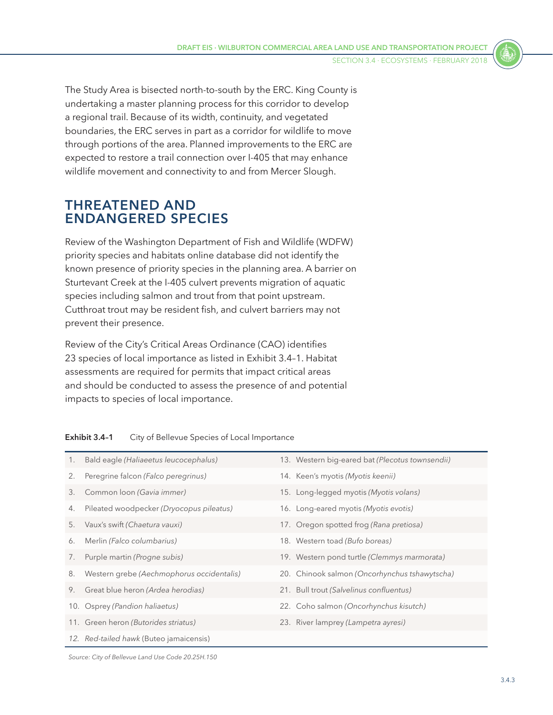The Study Area is bisected north-to-south by the ERC. King County is undertaking a master planning process for this corridor to develop a regional trail. Because of its width, continuity, and vegetated boundaries, the ERC serves in part as a corridor for wildlife to move through portions of the area. Planned improvements to the ERC are expected to restore a trail connection over I-405 that may enhance wildlife movement and connectivity to and from Mercer Slough.

#### **THREATENED AND ENDANGERED SPECIES**

Review of the Washington Department of Fish and Wildlife (WDFW) priority species and habitats online database did not identify the known presence of priority species in the planning area. A barrier on Sturtevant Creek at the I-405 culvert prevents migration of aquatic species including salmon and trout from that point upstream. Cutthroat trout may be resident fish, and culvert barriers may not prevent their presence.

Review of the City's Critical Areas Ordinance (CAO) identifies 23 species of local importance as listed in [Exhibit 3.4–1.](#page-2-0) Habitat assessments are required for permits that impact critical areas and should be conducted to assess the presence of and potential impacts to species of local importance.

| 1. | Bald eagle (Haliaeetus leucocephalus)     | 13. Western big-eared bat (Plecotus townsendii) |
|----|-------------------------------------------|-------------------------------------------------|
| 2. | Peregrine falcon (Falco peregrinus)       | 14. Keen's myotis (Myotis keenii)               |
| 3. | Common loon (Gavia immer)                 | 15. Long-legged myotis (Myotis volans)          |
| 4. | Pileated woodpecker (Dryocopus pileatus)  | 16. Long-eared myotis (Myotis evotis)           |
| 5. | Vaux's swift (Chaetura vauxi)             | 17. Oregon spotted frog (Rana pretiosa)         |
| 6. | Merlin (Falco columbarius)                | 18. Western toad (Bufo boreas)                  |
| 7. | Purple martin (Progne subis)              | 19. Western pond turtle (Clemmys marmorata)     |
| 8. | Western grebe (Aechmophorus occidentalis) | 20. Chinook salmon (Oncorhynchus tshawytscha)   |
| 9. | Great blue heron (Ardea herodias)         | 21. Bull trout (Salvelinus confluentus)         |
|    | 10. Osprey (Pandion haliaetus)            | 22. Coho salmon (Oncorhynchus kisutch)          |
|    | 11. Green heron (Butorides striatus)      | 23. River lamprey (Lampetra ayresi)             |
|    | 12. Red-tailed hawk (Buteo jamaicensis)   |                                                 |

#### <span id="page-2-0"></span>**Exhibit 3.4–1** City of Bellevue Species of Local Importance

*Source: City of Bellevue Land Use Code 20.25H.150*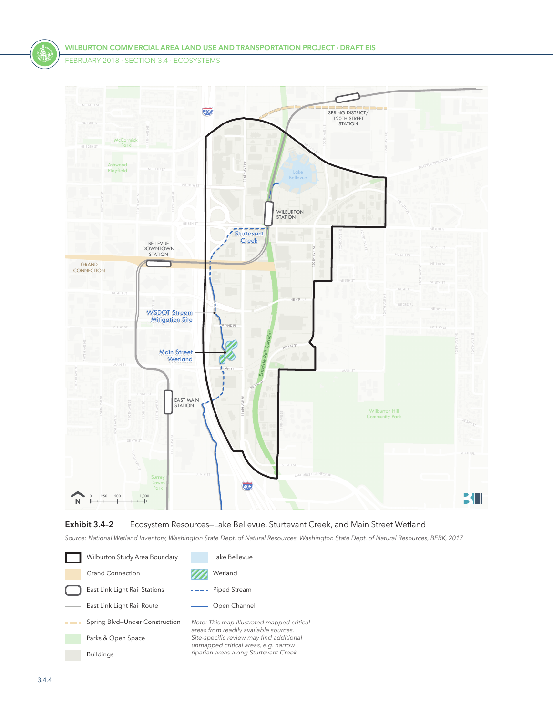

#### **Exhibit 3.4–2** Ecosystem Resources—Lake Bellevue, Sturtevant Creek, and Main Street Wetland

*Source: National Wetland Inventory, Washington State Dept. of Natural Resources, Washington State Dept. of Natural Resources, BERK, 2017*

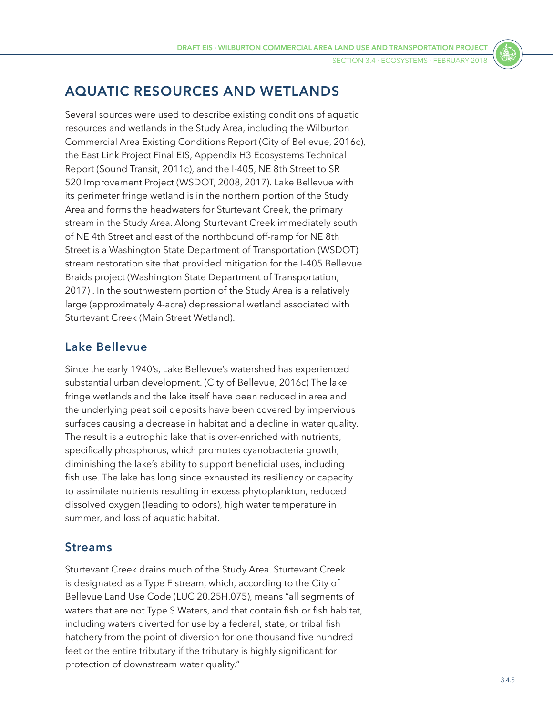SECTION 3.4 ⋅ Ecosystems ⋅ FEBRUARY 2018

## **AQUATIC RESOURCES AND WETLANDS**

Several sources were used to describe existing conditions of aquatic resources and wetlands in the Study Area, including the Wilburton Commercial Area Existing Conditions Report (City of Bellevue, 2016c), the East Link Project Final EIS, Appendix H3 Ecosystems Technical Report (Sound Transit, 2011c), and the I-405, NE 8th Street to SR 520 Improvement Project (WSDOT, 2008, 2017). Lake Bellevue with its perimeter fringe wetland is in the northern portion of the Study Area and forms the headwaters for Sturtevant Creek, the primary stream in the Study Area. Along Sturtevant Creek immediately south of NE 4th Street and east of the northbound off-ramp for NE 8th Street is a Washington State Department of Transportation (WSDOT) stream restoration site that provided mitigation for the I-405 Bellevue Braids project (Washington State Department of Transportation, 2017) . In the southwestern portion of the Study Area is a relatively large (approximately 4-acre) depressional wetland associated with Sturtevant Creek (Main Street Wetland).

#### **Lake Bellevue**

Since the early 1940's, Lake Bellevue's watershed has experienced substantial urban development. (City of Bellevue, 2016c) The lake fringe wetlands and the lake itself have been reduced in area and the underlying peat soil deposits have been covered by impervious surfaces causing a decrease in habitat and a decline in water quality. The result is a eutrophic lake that is over-enriched with nutrients, specifically phosphorus, which promotes cyanobacteria growth, diminishing the lake's ability to support beneficial uses, including fish use. The lake has long since exhausted its resiliency or capacity to assimilate nutrients resulting in excess phytoplankton, reduced dissolved oxygen (leading to odors), high water temperature in summer, and loss of aquatic habitat.

#### **Streams**

Sturtevant Creek drains much of the Study Area. Sturtevant Creek is designated as a Type F stream, which, according to the City of Bellevue Land Use Code (LUC 20.25H.075), means "all segments of waters that are not Type S Waters, and that contain fish or fish habitat, including waters diverted for use by a federal, state, or tribal fish hatchery from the point of diversion for one thousand five hundred feet or the entire tributary if the tributary is highly significant for protection of downstream water quality."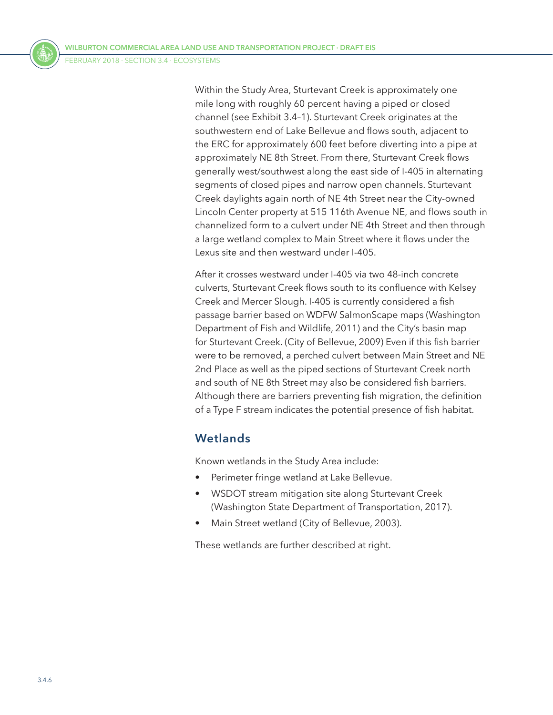Within the Study Area, Sturtevant Creek is approximately one mile long with roughly 60 percent having a piped or closed channel (see [Exhibit 3.4–1](#page-2-0)). Sturtevant Creek originates at the southwestern end of Lake Bellevue and flows south, adjacent to the ERC for approximately 600 feet before diverting into a pipe at approximately NE 8th Street. From there, Sturtevant Creek flows generally west/southwest along the east side of I-405 in alternating segments of closed pipes and narrow open channels. Sturtevant Creek daylights again north of NE 4th Street near the City-owned Lincoln Center property at 515 116th Avenue NE, and flows south in channelized form to a culvert under NE 4th Street and then through a large wetland complex to Main Street where it flows under the Lexus site and then westward under I-405.

After it crosses westward under I-405 via two 48-inch concrete culverts, Sturtevant Creek flows south to its confluence with Kelsey Creek and Mercer Slough. I-405 is currently considered a fish passage barrier based on WDFW SalmonScape maps (Washington Department of Fish and Wildlife, 2011) and the City's basin map for Sturtevant Creek. (City of Bellevue, 2009) Even if this fish barrier were to be removed, a perched culvert between Main Street and NE 2nd Place as well as the piped sections of Sturtevant Creek north and south of NE 8th Street may also be considered fish barriers. Although there are barriers preventing fish migration, the definition of a Type F stream indicates the potential presence of fish habitat.

#### **Wetlands**

Known wetlands in the Study Area include:

- Perimeter fringe wetland at Lake Bellevue.
- WSDOT stream mitigation site along Sturtevant Creek (Washington State Department of Transportation, 2017).
- Main Street wetland (City of Bellevue, 2003).

These wetlands are further described at right.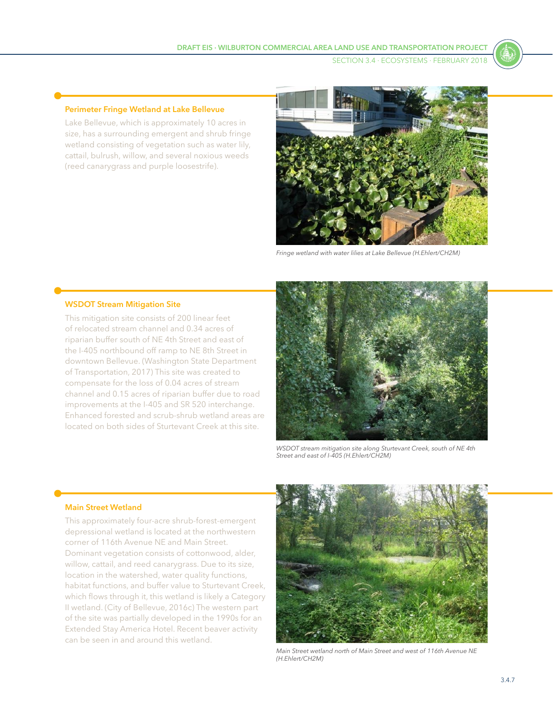#### **Perimeter Fringe Wetland at Lake Bellevue**

Lake Bellevue, which is approximately 10 acres in size, has a surrounding emergent and shrub fringe wetland consisting of vegetation such as water lily, cattail, bulrush, willow, and several noxious weeds (reed canarygrass and purple loosestrife).



*Fringe wetland with water lilies at Lake Bellevue (H.Ehlert/CH2M)*

#### **WSDOT Stream Mitigation Site**

This mitigation site consists of 200 linear feet of relocated stream channel and 0.34 acres of riparian buffer south of NE 4th Street and east of the I-405 northbound off ramp to NE 8th Street in downtown Bellevue. (Washington State Department of Transportation, 2017) This site was created to compensate for the loss of 0.04 acres of stream channel and 0.15 acres of riparian buffer due to road improvements at the I-405 and SR 520 interchange. Enhanced forested and scrub-shrub wetland areas are located on both sides of Sturtevant Creek at this site.



*WSDOT stream mitigation site along Sturtevant Creek, south of NE 4th Street and east of I-405 (H.Ehlert/CH2M)*

#### **Main Street Wetland**

This approximately four-acre shrub-forest-emergent depressional wetland is located at the northwestern corner of 116th Avenue NE and Main Street. Dominant vegetation consists of cottonwood, alder, willow, cattail, and reed canarygrass. Due to its size, location in the watershed, water quality functions, habitat functions, and buffer value to Sturtevant Creek, which flows through it, this wetland is likely a Category II wetland. (City of Bellevue, 2016c) The western part of the site was partially developed in the 1990s for an Extended Stay America Hotel. Recent beaver activity can be seen in and around this wetland.



*Main Street wetland north of Main Street and west of 116th Avenue NE (H.Ehlert/CH2M)*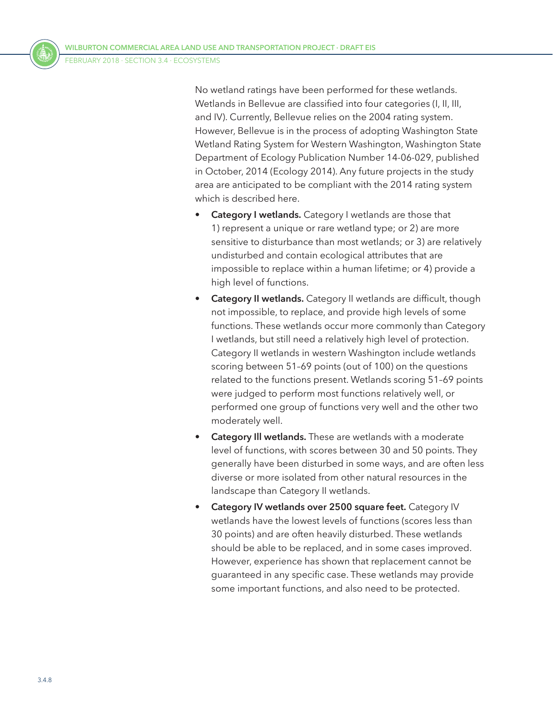No wetland ratings have been performed for these wetlands. Wetlands in Bellevue are classified into four categories (I, II, III, and IV). Currently, Bellevue relies on the 2004 rating system. However, Bellevue is in the process of adopting Washington State Wetland Rating System for Western Washington, Washington State Department of Ecology Publication Number 14-06-029, published in October, 2014 (Ecology 2014). Any future projects in the study area are anticipated to be compliant with the 2014 rating system which is described here.

- **Category I wetlands.** Category I wetlands are those that 1) represent a unique or rare wetland type; or 2) are more sensitive to disturbance than most wetlands; or 3) are relatively undisturbed and contain ecological attributes that are impossible to replace within a human lifetime; or 4) provide a high level of functions.
- **Category II wetlands.** Category II wetlands are difficult, though not impossible, to replace, and provide high levels of some functions. These wetlands occur more commonly than Category I wetlands, but still need a relatively high level of protection. Category II wetlands in western Washington include wetlands scoring between 51–69 points (out of 100) on the questions related to the functions present. Wetlands scoring 51–69 points were judged to perform most functions relatively well, or performed one group of functions very well and the other two moderately well.
- **Category Ill wetlands.** These are wetlands with a moderate level of functions, with scores between 30 and 50 points. They generally have been disturbed in some ways, and are often less diverse or more isolated from other natural resources in the landscape than Category II wetlands.
- **Category IV wetlands over 2500 square feet.** Category IV wetlands have the lowest levels of functions (scores less than 30 points) and are often heavily disturbed. These wetlands should be able to be replaced, and in some cases improved. However, experience has shown that replacement cannot be guaranteed in any specific case. These wetlands may provide some important functions, and also need to be protected.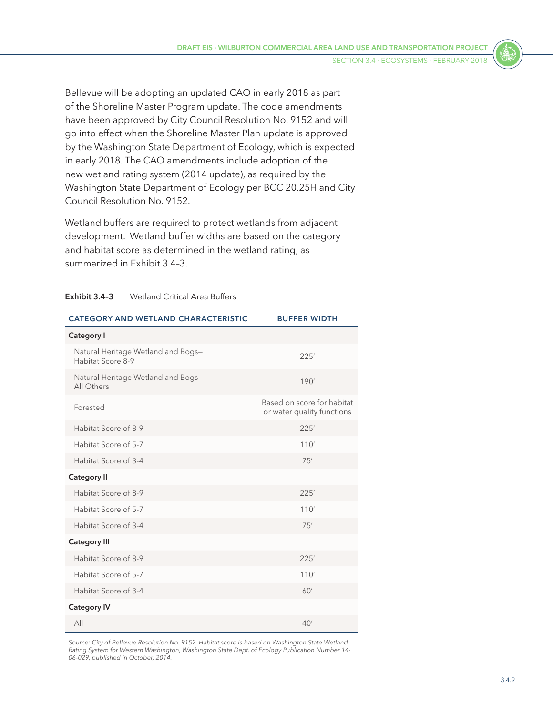Bellevue will be adopting an updated CAO in early 2018 as part of the Shoreline Master Program update. The code amendments have been approved by City Council Resolution No. 9152 and will go into effect when the Shoreline Master Plan update is approved by the Washington State Department of Ecology, which is expected in early 2018. The CAO amendments include adoption of the new wetland rating system (2014 update), as required by the Washington State Department of Ecology per BCC 20.25H and City Council Resolution No. 9152.

Wetland buffers are required to protect wetlands from adjacent development. Wetland buffer widths are based on the category and habitat score as determined in the wetland rating, as summarized in [Exhibit 3.4–3](#page-8-0).

#### <span id="page-8-0"></span>**Exhibit 3.4–3** Wetland Critical Area Buffers

| <b>CATEGORY AND WETLAND CHARACTERISTIC</b>              | <b>BUFFER WIDTH</b>                                      |  |  |
|---------------------------------------------------------|----------------------------------------------------------|--|--|
| Category I                                              |                                                          |  |  |
| Natural Heritage Wetland and Bogs-<br>Habitat Score 8-9 | 225'                                                     |  |  |
| Natural Heritage Wetland and Bogs-<br>All Others        | 190'                                                     |  |  |
| Forested                                                | Based on score for habitat<br>or water quality functions |  |  |
| Habitat Score of 8-9                                    | 225'                                                     |  |  |
| Habitat Score of 5-7                                    | 110'                                                     |  |  |
| Habitat Score of 3-4                                    | 75'                                                      |  |  |
| <b>Category II</b>                                      |                                                          |  |  |
| Habitat Score of 8-9                                    | 225'                                                     |  |  |
| Habitat Score of 5-7                                    | 110'                                                     |  |  |
| Habitat Score of 3-4                                    | 75'                                                      |  |  |
| <b>Category III</b>                                     |                                                          |  |  |
| Habitat Score of 8-9                                    | 225'                                                     |  |  |
| Habitat Score of 5-7                                    | 110'                                                     |  |  |
| Habitat Score of 3-4                                    | 60'                                                      |  |  |
| <b>Category IV</b>                                      |                                                          |  |  |
| All                                                     | 40'                                                      |  |  |

*Source: City of Bellevue Resolution No. 9152. Habitat score is based on Washington State Wetland Rating System for Western Washington, Washington State Dept. of Ecology Publication Number 14- 06-029, published in October, 2014.*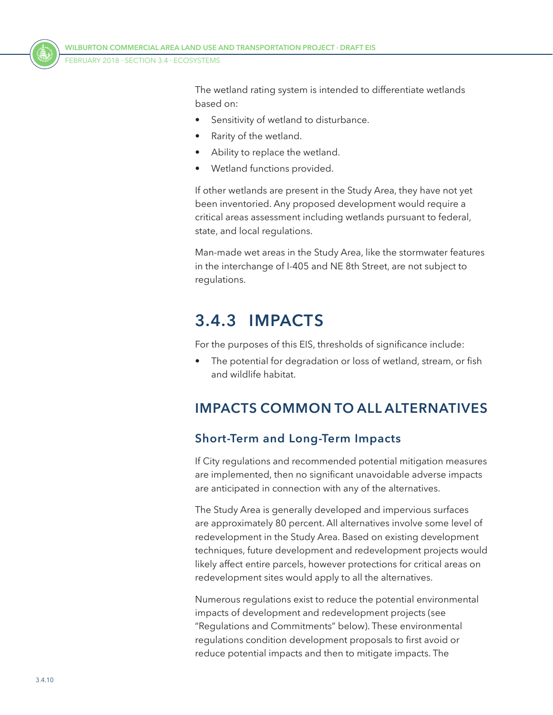

The wetland rating system is intended to differentiate wetlands based on:

- Sensitivity of wetland to disturbance.
- Rarity of the wetland.
- Ability to replace the wetland.
- Wetland functions provided.

If other wetlands are present in the Study Area, they have not yet been inventoried. Any proposed development would require a critical areas assessment including wetlands pursuant to federal, state, and local regulations.

Man-made wet areas in the Study Area, like the stormwater features in the interchange of I-405 and NE 8th Street, are not subject to regulations.

# **3.4.3 IMPACTS**

For the purposes of this EIS, thresholds of significance include:

The potential for degradation or loss of wetland, stream, or fish and wildlife habitat.

## **IMPACTS COMMON TO ALL ALTERNATIVES**

## **Short-Term and Long-Term Impacts**

If City regulations and recommended potential mitigation measures are implemented, then no significant unavoidable adverse impacts are anticipated in connection with any of the alternatives.

The Study Area is generally developed and impervious surfaces are approximately 80 percent. All alternatives involve some level of redevelopment in the Study Area. Based on existing development techniques, future development and redevelopment projects would likely affect entire parcels, however protections for critical areas on redevelopment sites would apply to all the alternatives.

Numerous regulations exist to reduce the potential environmental impacts of development and redevelopment projects (see ["Regulations and Commitments"](#page-15-0) below). These environmental regulations condition development proposals to first avoid or reduce potential impacts and then to mitigate impacts. The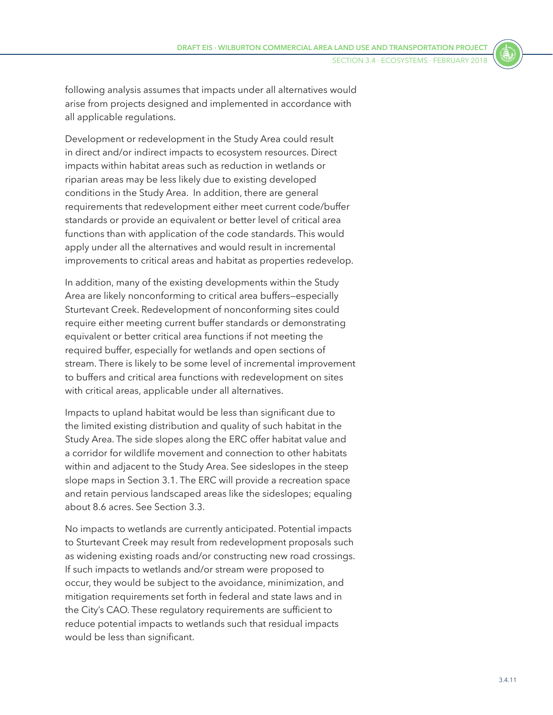following analysis assumes that impacts under all alternatives would arise from projects designed and implemented in accordance with all applicable regulations.

Development or redevelopment in the Study Area could result in direct and/or indirect impacts to ecosystem resources. Direct impacts within habitat areas such as reduction in wetlands or riparian areas may be less likely due to existing developed conditions in the Study Area. In addition, there are general requirements that redevelopment either meet current code/buffer standards or provide an equivalent or better level of critical area functions than with application of the code standards. This would apply under all the alternatives and would result in incremental improvements to critical areas and habitat as properties redevelop.

In addition, many of the existing developments within the Study Area are likely nonconforming to critical area buffers—especially Sturtevant Creek. Redevelopment of nonconforming sites could require either meeting current buffer standards or demonstrating equivalent or better critical area functions if not meeting the required buffer, especially for wetlands and open sections of stream. There is likely to be some level of incremental improvement to buffers and critical area functions with redevelopment on sites with critical areas, applicable under all alternatives.

Impacts to upland habitat would be less than significant due to the limited existing distribution and quality of such habitat in the Study Area. The side slopes along the ERC offer habitat value and a corridor for wildlife movement and connection to other habitats within and adjacent to the Study Area. See sideslopes in the steep slope maps in Section 3.1. The ERC will provide a recreation space and retain pervious landscaped areas like the sideslopes; equaling about 8.6 acres. See Section 3.3.

No impacts to wetlands are currently anticipated. Potential impacts to Sturtevant Creek may result from redevelopment proposals such as widening existing roads and/or constructing new road crossings. If such impacts to wetlands and/or stream were proposed to occur, they would be subject to the avoidance, minimization, and mitigation requirements set forth in federal and state laws and in the City's CAO. These regulatory requirements are sufficient to reduce potential impacts to wetlands such that residual impacts would be less than significant.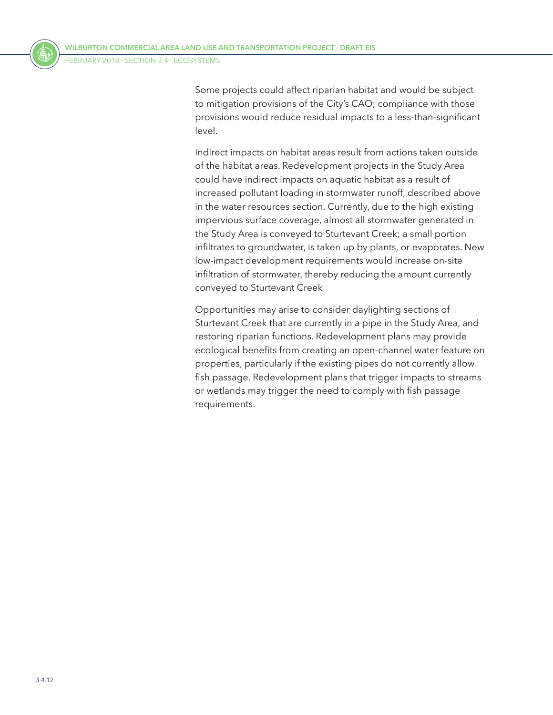Some projects could affect riparian habitat and would be subject to mitigation provisions of the City's CAO; compliance with those provisions would reduce residual impacts to a less-than-significant level.

Indirect impacts on habitat areas result from actions taken outside of the habitat areas. Redevelopment projects in the Study Area could have indirect impacts on aquatic habitat as a result of increased pollutant loading in stormwater runoff, described above in the water resources section. Currently, due to the high existing impervious surface coverage, almost all stormwater generated in the Study Area is conveyed to Sturtevant Creek; a small portion infiltrates to groundwater, is taken up by plants, or evaporates. New low-impact development requirements would increase on-site infiltration of stormwater, thereby reducing the amount currently conveyed to Sturtevant Creek

Opportunities may arise to consider daylighting sections of Sturtevant Creek that are currently in a pipe in the Study Area, and restoring riparian functions. Redevelopment plans may provide ecological benefits from creating an open-channel water feature on properties, particularly if the existing pipes do not currently allow fish passage. Redevelopment plans that trigger impacts to streams or wetlands may trigger the need to comply with fish passage requirements.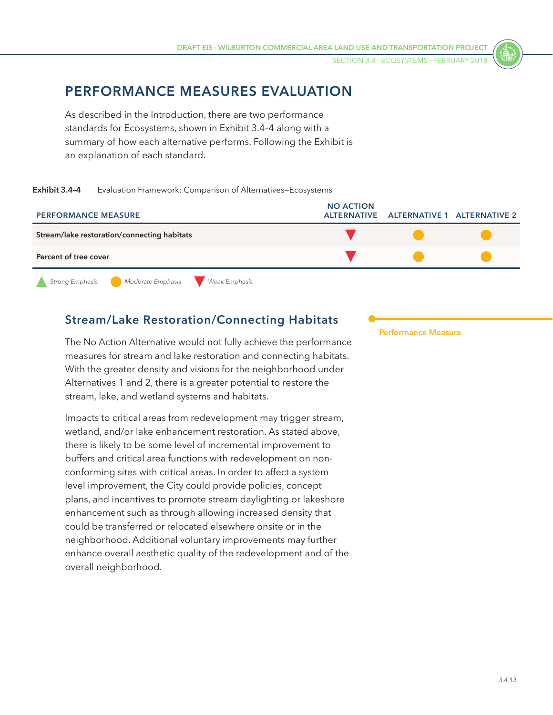SECTION 3.4 ⋅ Ecosystems ⋅ FEBRUARY 2018

## **PERFORMANCE MEASURES EVALUATION**

<span id="page-12-0"></span>As described in the Introduction, there are two performance standards for Ecosystems, shown in [Exhibit 3.4–4](#page-12-0) along with a summary of how each alternative performs. Following the Exhibit is an explanation of each standard.

#### **Exhibit 3.4–4** Evaluation Framework: Comparison of Alternatives—Ecosystems



#### **Stream/Lake Restoration/Connecting Habitats**

The No Action Alternative would not fully achieve the performance measures for stream and lake restoration and connecting habitats. With the greater density and visions for the neighborhood under Alternatives 1 and 2, there is a greater potential to restore the stream, lake, and wetland systems and habitats.

Impacts to critical areas from redevelopment may trigger stream, wetland, and/or lake enhancement restoration. As stated above, there is likely to be some level of incremental improvement to buffers and critical area functions with redevelopment on nonconforming sites with critical areas. In order to affect a system level improvement, the City could provide policies, concept plans, and incentives to promote stream daylighting or lakeshore enhancement such as through allowing increased density that could be transferred or relocated elsewhere onsite or in the neighborhood. Additional voluntary improvements may further enhance overall aesthetic quality of the redevelopment and of the overall neighborhood.

**Performance Measure**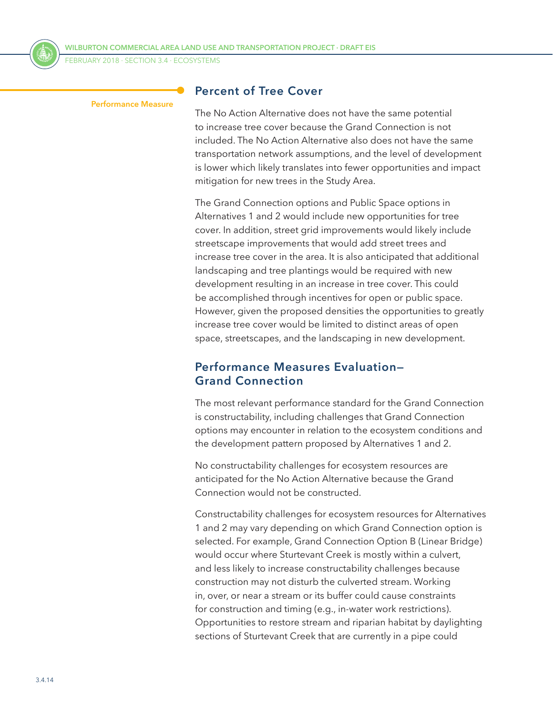

FEBRUARY 2018 ⋅ SECTION 3.4 ⋅ Ecosystems

#### **Performance Measure**

#### **Percent of Tree Cover**

The No Action Alternative does not have the same potential to increase tree cover because the Grand Connection is not included. The No Action Alternative also does not have the same transportation network assumptions, and the level of development is lower which likely translates into fewer opportunities and impact mitigation for new trees in the Study Area.

The Grand Connection options and Public Space options in Alternatives 1 and 2 would include new opportunities for tree cover. In addition, street grid improvements would likely include streetscape improvements that would add street trees and increase tree cover in the area. It is also anticipated that additional landscaping and tree plantings would be required with new development resulting in an increase in tree cover. This could be accomplished through incentives for open or public space. However, given the proposed densities the opportunities to greatly increase tree cover would be limited to distinct areas of open space, streetscapes, and the landscaping in new development.

#### **Performance Measures Evaluation— Grand Connection**

The most relevant performance standard for the Grand Connection is constructability, including challenges that Grand Connection options may encounter in relation to the ecosystem conditions and the development pattern proposed by Alternatives 1 and 2.

No constructability challenges for ecosystem resources are anticipated for the No Action Alternative because the Grand Connection would not be constructed.

Constructability challenges for ecosystem resources for Alternatives 1 and 2 may vary depending on which Grand Connection option is selected. For example, Grand Connection Option B (Linear Bridge) would occur where Sturtevant Creek is mostly within a culvert, and less likely to increase constructability challenges because construction may not disturb the culverted stream. Working in, over, or near a stream or its buffer could cause constraints for construction and timing (e.g., in-water work restrictions). Opportunities to restore stream and riparian habitat by daylighting sections of Sturtevant Creek that are currently in a pipe could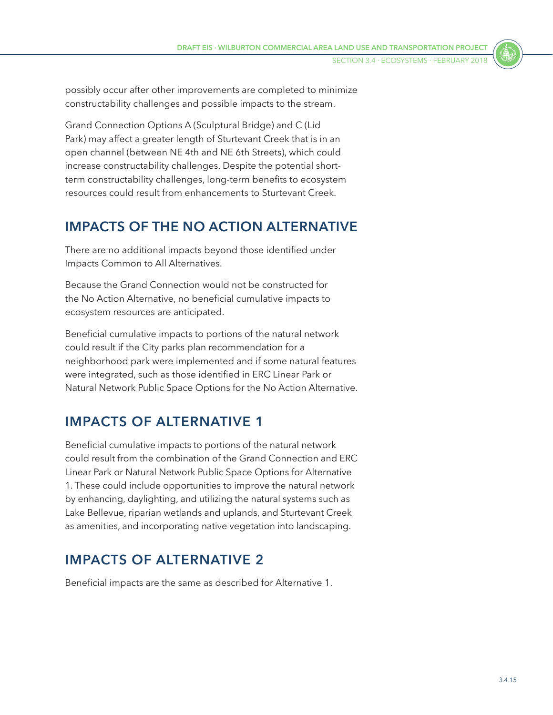possibly occur after other improvements are completed to minimize constructability challenges and possible impacts to the stream.

Grand Connection Options A (Sculptural Bridge) and C (Lid Park) may affect a greater length of Sturtevant Creek that is in an open channel (between NE 4th and NE 6th Streets), which could increase constructability challenges. Despite the potential shortterm constructability challenges, long-term benefits to ecosystem resources could result from enhancements to Sturtevant Creek.

# **IMPACTS OF THE NO ACTION ALTERNATIVE**

There are no additional impacts beyond those identified under Impacts Common to All Alternatives.

Because the Grand Connection would not be constructed for the No Action Alternative, no beneficial cumulative impacts to ecosystem resources are anticipated.

Beneficial cumulative impacts to portions of the natural network could result if the City parks plan recommendation for a neighborhood park were implemented and if some natural features were integrated, such as those identified in ERC Linear Park or Natural Network Public Space Options for the No Action Alternative.

# **IMPACTS OF ALTERNATIVE 1**

Beneficial cumulative impacts to portions of the natural network could result from the combination of the Grand Connection and ERC Linear Park or Natural Network Public Space Options for Alternative 1. These could include opportunities to improve the natural network by enhancing, daylighting, and utilizing the natural systems such as Lake Bellevue, riparian wetlands and uplands, and Sturtevant Creek as amenities, and incorporating native vegetation into landscaping.

# **IMPACTS OF ALTERNATIVE 2**

Beneficial impacts are the same as described for Alternative 1.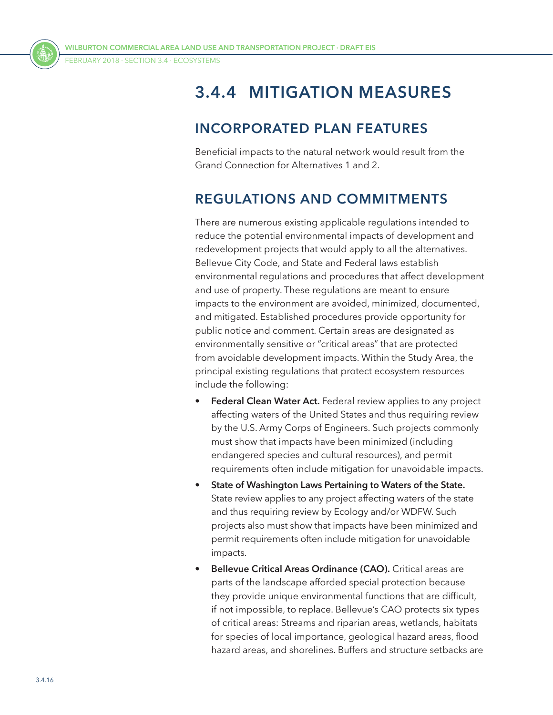FEBRUARY 2018 ⋅ SECTION 3.4 ⋅ Ecosystems



# **3.4.4 MITIGATION MEASURES**

## **INCORPORATED PLAN FEATURES**

Beneficial impacts to the natural network would result from the Grand Connection for Alternatives 1 and 2.

## <span id="page-15-0"></span>**REGULATIONS AND COMMITMENTS**

There are numerous existing applicable regulations intended to reduce the potential environmental impacts of development and redevelopment projects that would apply to all the alternatives. Bellevue City Code, and State and Federal laws establish environmental regulations and procedures that affect development and use of property. These regulations are meant to ensure impacts to the environment are avoided, minimized, documented, and mitigated. Established procedures provide opportunity for public notice and comment. Certain areas are designated as environmentally sensitive or "critical areas" that are protected from avoidable development impacts. Within the Study Area, the principal existing regulations that protect ecosystem resources include the following:

- **Federal Clean Water Act.** Federal review applies to any project affecting waters of the United States and thus requiring review by the U.S. Army Corps of Engineers. Such projects commonly must show that impacts have been minimized (including endangered species and cultural resources), and permit requirements often include mitigation for unavoidable impacts.
- **State of Washington Laws Pertaining to Waters of the State.** State review applies to any project affecting waters of the state and thus requiring review by Ecology and/or WDFW. Such projects also must show that impacts have been minimized and permit requirements often include mitigation for unavoidable impacts.
- **Bellevue Critical Areas Ordinance (CAO).** Critical areas are parts of the landscape afforded special protection because they provide unique environmental functions that are difficult, if not impossible, to replace. Bellevue's CAO protects six types of critical areas: Streams and riparian areas, wetlands, habitats for species of local importance, geological hazard areas, flood hazard areas, and shorelines. Buffers and structure setbacks are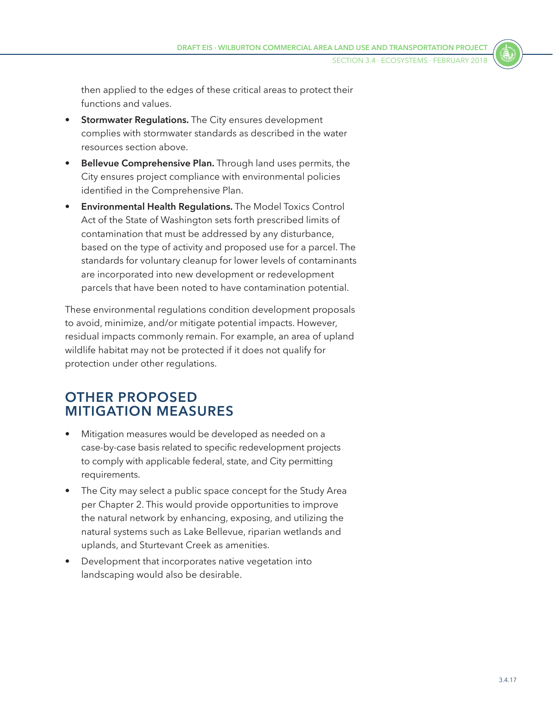then applied to the edges of these critical areas to protect their functions and values.

- **Stormwater Regulations.** The City ensures development complies with stormwater standards as described in the water resources section above.
- **Bellevue Comprehensive Plan.** Through land uses permits, the City ensures project compliance with environmental policies identified in the Comprehensive Plan.
- **Environmental Health Regulations.** The Model Toxics Control Act of the State of Washington sets forth prescribed limits of contamination that must be addressed by any disturbance, based on the type of activity and proposed use for a parcel. The standards for voluntary cleanup for lower levels of contaminants are incorporated into new development or redevelopment parcels that have been noted to have contamination potential.

These environmental regulations condition development proposals to avoid, minimize, and/or mitigate potential impacts. However, residual impacts commonly remain. For example, an area of upland wildlife habitat may not be protected if it does not qualify for protection under other regulations.

## **OTHER PROPOSED MITIGATION MEASURES**

- Mitigation measures would be developed as needed on a case-by-case basis related to specific redevelopment projects to comply with applicable federal, state, and City permitting requirements.
- The City may select a public space concept for the Study Area per Chapter 2. This would provide opportunities to improve the natural network by enhancing, exposing, and utilizing the natural systems such as Lake Bellevue, riparian wetlands and uplands, and Sturtevant Creek as amenities.
- Development that incorporates native vegetation into landscaping would also be desirable.